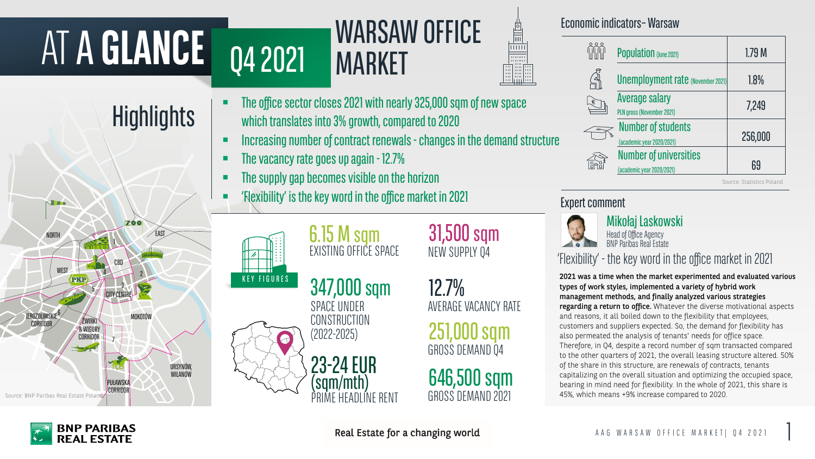## MARKET Q4 2021 MARKET

## **Highlights**

## Mikołaj Laskowski

Head of Office Agency BNP Paribas Real Estate Source: Statistics Poland

#### Expert comment



# ATA **GLANCE**





- **Increasing number of contract renewals changes in the demand structure**
- **The vacancy rate goes up again 12.7%**
- **EXECUTE:** The supply gap becomes visible on the horizon
- 'Flexibility' is the key word in the office market in 2021

 The office sector closes 2021 with nearly 325,000 sqm of new space which translates into 3% growth, compared to 2020

> 347,000 sqm SPACE UNDER **CONSTRUCTION** (2022-2025)

31,500 sqm NEW SUPPLY Q4

**MARSAW OFFICE**<br>
SECOND THE COMMUNISTIES AND CONTINUES CONTINUES SEEMS AND CONTINUES SEEMS AND SURFACE VIDEO SURFACE VIDEO SURFACE VIDEO SEEMS ARE CONTINUES ON THE CONTINUES ON THE CONTINUES ON THE CONTINUES ON THE CONTIN 2021 was a time when the market experimented and evaluated various types of work styles, implemented a variety of hybrid work management methods, and finally analyzed various strategies regarding a return to office. Whatever the diverse motivational aspects and reasons, it all boiled down to the flexibility that employees, customers and suppliers expected. So, the demand for flexibility has also permeated the analysis of tenants' needs for office space. Therefore, in Q4, despite a record number of sqm transacted compared to the other quarters of 2021, the overall leasing structure altered. 50% of the share in this structure, are renewals of contracts, tenants capitalizing on the overall situation and optimizing the occupied space, bearing in mind need for flexibility. In the whole of 2021, this share is 45%, which means +9% increase compared to 2020.

12.7% AVERAGE VACANCY RATE

251,000 sqm GROSS DEMAND Q4

6.15 M sqm EXISTING OFFICE SPACE

23-24EUR (sqm/mth) PRIME HEADLINE RENT

646,500 sqm GROSS DEMAND 2021





#### Economic indicators-Warsaw

| <b>Population (June 2021)</b>                              | 1.79 <sub>M</sub> |
|------------------------------------------------------------|-------------------|
| <b>Unemployment rate (November 2021)</b>                   | 1.8%              |
| <b>Average salary</b><br>PLN gross (November 2021)         | 7,249             |
| <b>Number of students</b><br>(academic year 2020/2021)     | 256,000           |
| <b>Number of universities</b><br>(academic year 2020/2021) | 69                |

## 'Flexibility' - the key word in the office market in 2021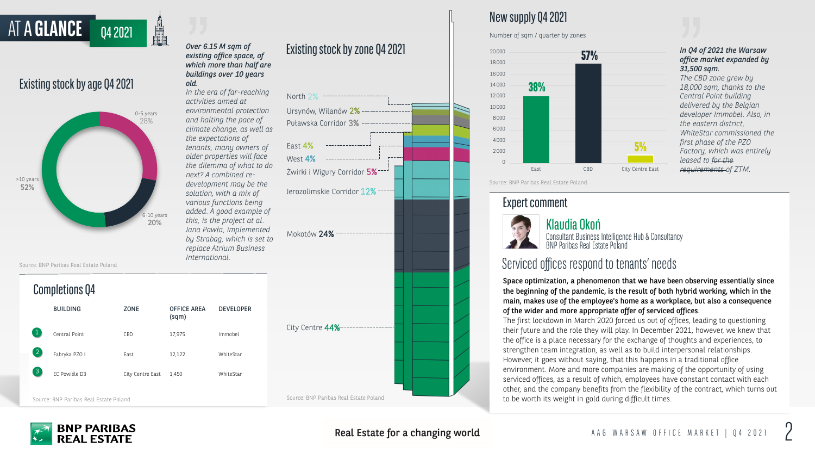

## Existing stock by age Q4 2021

AT A **GLANCE** 04 2021



### New supplyQ4 2021

Number of sqm / quarter by zones

Source: BNP Paribas Real Estate Poland

Source: BNP Paribas Real Estate Poland

#### **Expert comment**



#### Completions Q4

|              | <b>BUILDING</b> | <b>ZONE</b>      | <b>OFFICE AREA</b><br>(sqm) | <b>DEVELOPER</b> |
|--------------|-----------------|------------------|-----------------------------|------------------|
|              | Central Point   | CBD              | 17,975                      | Immobel          |
| $\mathbf{2}$ | Fabryka PZO I   | East             | 12,122                      | WhiteStar        |
| 3            | FC Powiśle D3   | City Centre East | 1,450                       | WhiteStar        |

Klaudia Okoń

Consultant Business Intelligence Hub & Consultancy BNP Paribas Real Estate Poland

Source: BNP Paribas Real Estate Poland

#### **BNP PARIBAS REAL ESTATE**



Real Estate for a changing world

#### *Over 6.15 M sqm of existing office space, of which more than half are buildings over 10 years old.*

*In the era of far-reaching activities aimed at environmental protection and halting the pace of climate change, as well as the expectations of tenants, many owners of older properties will face the dilemma of what to do next? A combined redevelopment may be the solution, with a mix of various functions being added. A good example of this, is the project at al. Jana Pawła, implemented by Strabag, which is set to replace Atrium Business* 

#### Existing stock by zone Q4 2021

Space optimization, a phenomenon that we have been observing essentially since the beginning of the pandemic, is the result of both hybrid working, which in the main, makes use of the employee's home as a workplace, but also a consequence of the wider and more appropriate offer of serviced offices.

The first lockdown in March 2020 forced us out of offices, leading to questioning their future and the role they will play. In December 2021, however, we knew that the office is a place necessary for the exchange of thoughts and experiences, to strengthen team integration, as well as to build interpersonal relationships. However, it goes without saying, that this happens in a traditional office environment. More and more companies are making of the opportunity of using serviced offices, as a result of which, employees have constant contact with each other, and the company benefits from the flexibility of the contract, which turns out to be worth its weight in gold during difficult times.

*In Q4 of 2021 the Warsaw office market expanded by* 

*31,500 sqm.*

*The CBD zone grew by* 

*18,000 sqm, thanks to the* 

*Central Point building delivered by the Belgian developer Immobel. Also, in* 

*the eastern district,* 

*WhiteStar commissioned the* 

*first phase of the PZO* 

*Factory, which was entirely* 

*leased to for the* 

*requirements of ZTM.*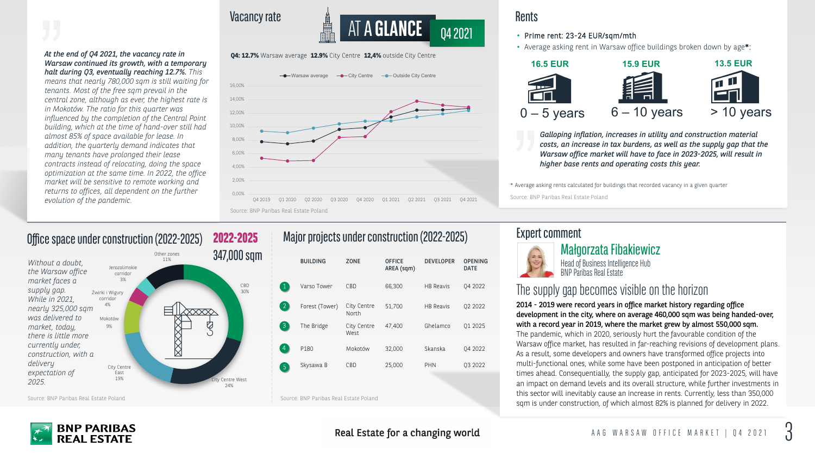Head of Business Intelligence Hub **BNP Paribas Real Estate** 



#### Vacancy rate





- Prime rent: 23-24 EUR/sqm/mth
- Average asking rent in Warsaw office buildings broken down by age\*:



*Galloping inflation, increases in utility and construction material costs, an increase in tax burdens, as well as the supply gap that the Warsaw office market will have to face in 2023-2025, will result in higher base rents and operating costs this year.*



Source: BNP Paribas Real Estate Poland



Real Estate for a changing world

#### **Rents**

Source: BNP Paribas Real Estate Poland

Source: BNP Paribas Real Estate Poland

#### Expert comment



#### Małgorzata Fibakiewicz

\* Average asking rents calculated for buildings that recorded vacancy in a given quarter

*At the end of Q4 2021, the vacancy rate in Warsaw continued its growth, with a temporary halt during Q3, eventually reaching 12.7%. This* 

*means that nearly 780,000 sqm is still waiting for tenants. Most of the free sqm prevail in the central zone, although as ever, the highest rate is in Mokotów. The ratio for this quarter was influenced by the completion of the Central Point building, which at the time of hand-over still had almost 85% of space available for lease. In addition, the quarterly demand indicates that many tenants have prolonged their lease contracts instead of relocating, doing the space optimization at the same time. In 2022, the office market will be sensitive to remote working and returns to offices, all dependent on the further evolution of the pandemic.*

### The supply gap becomes visible on the horizon

2014 - 2019 were record years in office market history regarding office development in the city, where on average 460,000 sqm was being handed-over, with a record year in 2019, where the market grew by almost 550,000 sqm. The pandemic, which in 2020, seriously hurt the favourable condition of the Warsaw office market, has resulted in far-reaching revisions of development plans. As a result, some developers and owners have transformed office projects into multi-functional ones, while some have been postponed in anticipation of better times ahead. Consequentially, the supply gap, anticipated for 2023-2025, will have an impact on demand levels and its overall structure, while further investments in this sector will inevitably cause an increase in rents. Currently, less than 350,000 sqm is under construction, of which almost 82% is planned for delivery in 2022.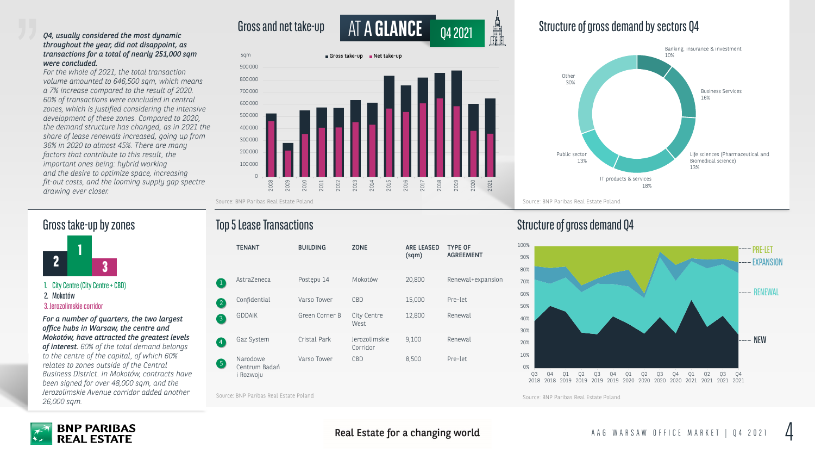

Structure of gross demand Q4



Source: BNP Paribas Real Estate Poland

Source: BNP Paribas Real Estate Poland

#### Gross take-up by zones

**1 2 3**

|                   | <b>TENANT</b>                        | <b>BUILDING</b> | <b>ZONE</b>               | <b>ARE LEASED</b><br>(sqm) | <b>TYPE OF</b><br><b>AGREEMENT</b> |
|-------------------|--------------------------------------|-----------------|---------------------------|----------------------------|------------------------------------|
|                   | AstraZeneca                          | Postępu 14      | Mokotów                   | 20,800                     | Renewal+expansion                  |
| $\left( 2\right)$ | Confidential                         | Varso Tower     | CBD                       | 15,000                     | Pre-let                            |
| $\left(3\right)$  | <b>GDDAIK</b>                        | Green Corner B  | City Centre<br>West       | 12,800                     | Renewal                            |
| $\vert 4 \vert$   | Gaz System                           | Cristal Park    | Jerozolimskie<br>Corridor | 9,100                      | Renewal                            |
| $\left(5\right)$  | Narodowe<br>Centrum Badań<br>Rozwoju | Varso Tower     | CBD                       | 8,500                      | Pre-let                            |



Source: BNP Paribas Real Estate Poland



#### Real Estate for a changing world

#### *Q4, usually considered the most dynamic throughout the year, did not disappoint, as transactions for a total of nearly 251,000 sqm were concluded.*

*For the whole of 2021, the total transaction volume amounted to 646,500 sqm, which means a 7% increase compared to the result of 2020. 60% of transactions were concluded in central zones, which is justified considering the intensive development of these zones. Compared to 2020, the demand structure has changed, as in 2021 the share of lease renewals increased, going up from 36% in 2020 to almost 45%. There are many factors that contribute to this result, the important ones being: hybrid working and the desire to optimize space, increasing fit-out costs, and the looming supply gap spectre drawing ever closer.*



*For a number of quarters, the two largest office hubs in Warsaw, the centre and Mokotów, have attracted the greatest levels of interest. 60% of the total demand belongs to the centre of the capital, of which 60% relates to zones outside of the Central Business District. In Mokotów, contracts have been signed for over 48,000 sqm, and the Jerozolimskie Avenue corridor added another 26,000 sqm.*

### **Top 5 Lease Transactions**

1. City Centre (City Centre + CBD)

2. Mokotów

3. Jerozolimskie corridor